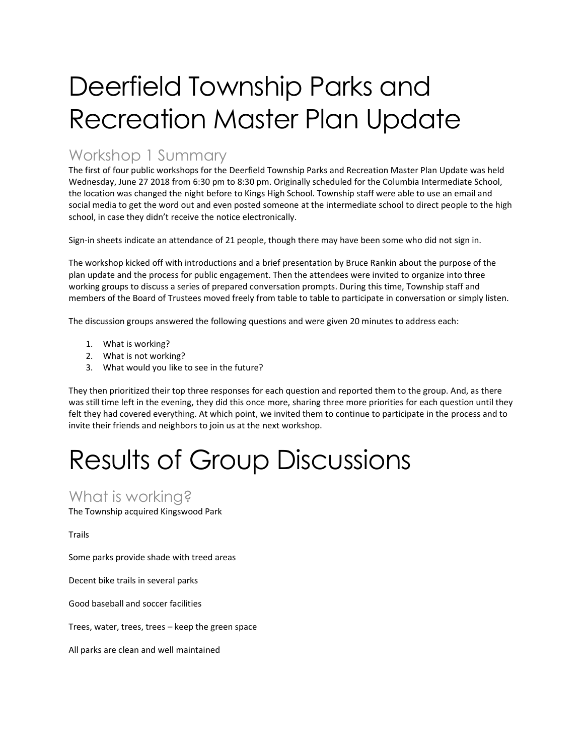# Deerfield Township Parks and Recreation Master Plan Update

## Workshop 1 Summary

The first of four public workshops for the Deerfield Township Parks and Recreation Master Plan Update was held Wednesday, June 27 2018 from 6:30 pm to 8:30 pm. Originally scheduled for the Columbia Intermediate School, the location was changed the night before to Kings High School. Township staff were able to use an email and social media to get the word out and even posted someone at the intermediate school to direct people to the high school, in case they didn't receive the notice electronically.

Sign-in sheets indicate an attendance of 21 people, though there may have been some who did not sign in.

The workshop kicked off with introductions and a brief presentation by Bruce Rankin about the purpose of the plan update and the process for public engagement. Then the attendees were invited to organize into three working groups to discuss a series of prepared conversation prompts. During this time, Township staff and members of the Board of Trustees moved freely from table to table to participate in conversation or simply listen.

The discussion groups answered the following questions and were given 20 minutes to address each:

- 1. What is working?
- 2. What is not working?
- 3. What would you like to see in the future?

They then prioritized their top three responses for each question and reported them to the group. And, as there was still time left in the evening, they did this once more, sharing three more priorities for each question until they felt they had covered everything. At which point, we invited them to continue to participate in the process and to invite their friends and neighbors to join us at the next workshop.

# Results of Group Discussions

### What is working?

The Township acquired Kingswood Park

Trails

Some parks provide shade with treed areas

Decent bike trails in several parks

Good baseball and soccer facilities

Trees, water, trees, trees – keep the green space

All parks are clean and well maintained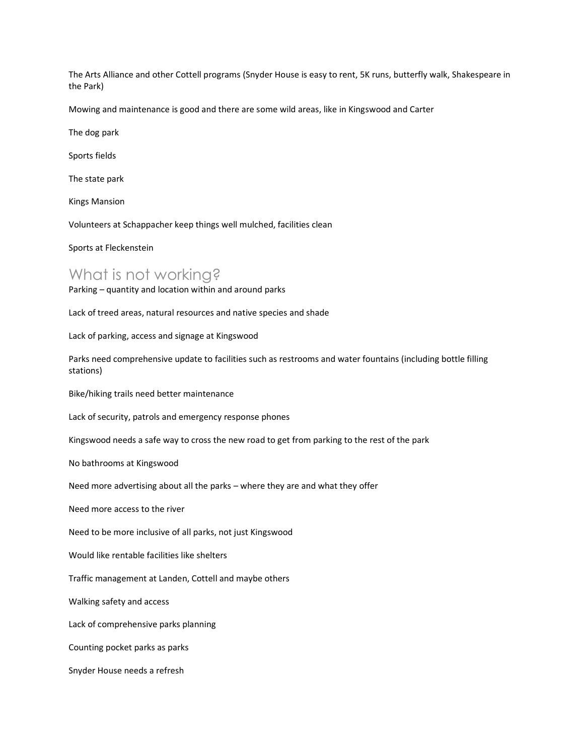The Arts Alliance and other Cottell programs (Snyder House is easy to rent, 5K runs, butterfly walk, Shakespeare in the Park)

Mowing and maintenance is good and there are some wild areas, like in Kingswood and Carter

The dog park

Sports fields

The state park

Kings Mansion

Volunteers at Schappacher keep things well mulched, facilities clean

Sports at Fleckenstein

#### What is not working?

Parking – quantity and location within and around parks

Lack of treed areas, natural resources and native species and shade

Lack of parking, access and signage at Kingswood

Parks need comprehensive update to facilities such as restrooms and water fountains (including bottle filling stations)

Bike/hiking trails need better maintenance

Lack of security, patrols and emergency response phones

Kingswood needs a safe way to cross the new road to get from parking to the rest of the park

No bathrooms at Kingswood

Need more advertising about all the parks – where they are and what they offer

Need more access to the river

Need to be more inclusive of all parks, not just Kingswood

Would like rentable facilities like shelters

Traffic management at Landen, Cottell and maybe others

Walking safety and access

Lack of comprehensive parks planning

Counting pocket parks as parks

Snyder House needs a refresh